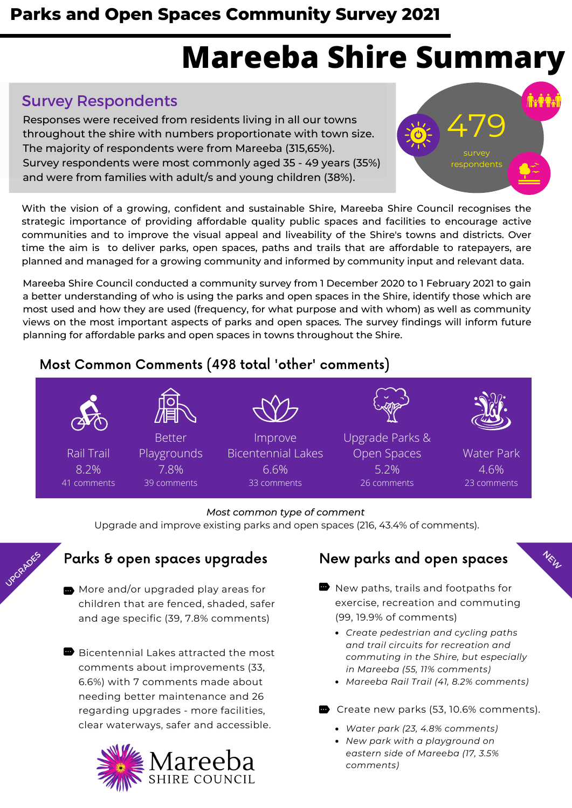### **Parks and Open Spaces Community Survey 2021**

# **Mareeba Shire Summary**

#### Survey Respondents

Responses were received from residents living in all our towns throughout the shire with numbers proportionate with town size. The majority of respondents were from Mareeba (315,65%). Survey respondents were most commonly aged 35 - 49 years (35%) and were from families with adult/s and young children (38%).



With the vision of a growing, confident and sustainable Shire, Mareeba Shire Council recognises the strategic importance of providing affordable quality public spaces and facilities to encourage active communities and to improve the visual appeal and liveability of the Shire's towns and districts. Over time the aim is to deliver parks, open spaces, paths and trails that are affordable to ratepayers, are planned and managed for a growing community and informed by community input and relevant data.

Mareeba Shire Council conducted a community survey from 1 December 2020 to 1 February 2021 to gain a better understanding of who is using the parks and open spaces in the Shire, identify those which are most used and how they are used (frequency, for what purpose and with whom) as well as community views on the most important aspects of parks and open spaces. The survey findings will inform future planning for affordable parks and open spaces in towns throughout the Shire.

#### Most Common Comments (498 total 'other' comments)



#### *Most common type of comment*

Upgrade and improve existing parks and open spaces (216, 43.4% of comments).

#### Parks & open spaces upgrades

UPGRADES

- **m** More and/or upgraded play areas for children that are fenced, shaded, safer and age specific (39, 7.8% comments)
- Bicentennial Lakes attracted the most comments about improvements (33, 6.6%) with 7 comments made about needing better maintenance and 26 regarding upgrades - more facilities, clear waterways, safer and accessible. *Water park (23, 4.8% comments)*



#### New parks and open spaces

NEW

- $\blacksquare$  New paths, trails and footpaths for exercise, recreation and commuting (99, 19.9% of comments)
	- *Create pedestrian and cycling paths and trail circuits for recreation and commuting in the Shire, but especially in Mareeba (55, 11% comments)*
	- *Mareeba Rail Trail (41, 8.2% comments)*
- Create new parks (53, 10.6% comments).
	-
	- *New park with a playground on eastern side of Mareeba (17, 3.5% comments)*